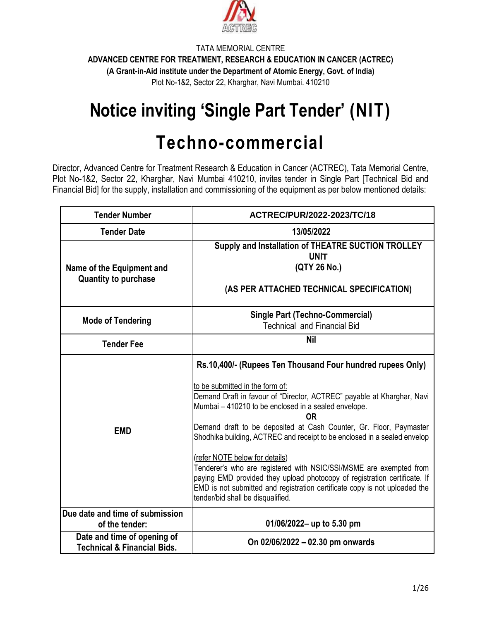

# **Notice inviting 'Single Part Tender' (NIT)**

# **Techno-commercial**

Director, Advanced Centre for Treatment Research & Education in Cancer (ACTREC), Tata Memorial Centre, Plot No-1&2, Sector 22, Kharghar, Navi Mumbai 410210, invites tender in Single Part [Technical Bid and Financial Bid] for the supply, installation and commissioning of the equipment as per below mentioned details:

| <b>Tender Number</b>                                                  | ACTREC/PUR/2022-2023/TC/18                                                                                                                                                                                                                                                                                                                                                                                                                                                                                                                                                                                                                                                                      |  |  |
|-----------------------------------------------------------------------|-------------------------------------------------------------------------------------------------------------------------------------------------------------------------------------------------------------------------------------------------------------------------------------------------------------------------------------------------------------------------------------------------------------------------------------------------------------------------------------------------------------------------------------------------------------------------------------------------------------------------------------------------------------------------------------------------|--|--|
| <b>Tender Date</b>                                                    | 13/05/2022                                                                                                                                                                                                                                                                                                                                                                                                                                                                                                                                                                                                                                                                                      |  |  |
| Name of the Equipment and<br><b>Quantity to purchase</b>              | Supply and Installation of THEATRE SUCTION TROLLEY<br><b>UNIT</b><br>(QTY 26 No.)<br>(AS PER ATTACHED TECHNICAL SPECIFICATION)                                                                                                                                                                                                                                                                                                                                                                                                                                                                                                                                                                  |  |  |
| <b>Mode of Tendering</b>                                              | <b>Single Part (Techno-Commercial)</b><br><b>Technical and Financial Bid</b>                                                                                                                                                                                                                                                                                                                                                                                                                                                                                                                                                                                                                    |  |  |
| <b>Tender Fee</b>                                                     | <b>Nil</b>                                                                                                                                                                                                                                                                                                                                                                                                                                                                                                                                                                                                                                                                                      |  |  |
| <b>EMD</b>                                                            | Rs.10,400/- (Rupees Ten Thousand Four hundred rupees Only)<br>to be submitted in the form of:<br>Demand Draft in favour of "Director, ACTREC" payable at Kharghar, Navi<br>Mumbai - 410210 to be enclosed in a sealed envelope.<br>0R<br>Demand draft to be deposited at Cash Counter, Gr. Floor, Paymaster<br>Shodhika building, ACTREC and receipt to be enclosed in a sealed envelop<br>(refer NOTE below for details)<br>Tenderer's who are registered with NSIC/SSI/MSME are exempted from<br>paying EMD provided they upload photocopy of registration certificate. If<br>EMD is not submitted and registration certificate copy is not uploaded the<br>tender/bid shall be disqualified. |  |  |
| Due date and time of submission<br>of the tender:                     | 01/06/2022- up to 5.30 pm                                                                                                                                                                                                                                                                                                                                                                                                                                                                                                                                                                                                                                                                       |  |  |
| Date and time of opening of<br><b>Technical &amp; Financial Bids.</b> | On 02/06/2022 - 02.30 pm onwards                                                                                                                                                                                                                                                                                                                                                                                                                                                                                                                                                                                                                                                                |  |  |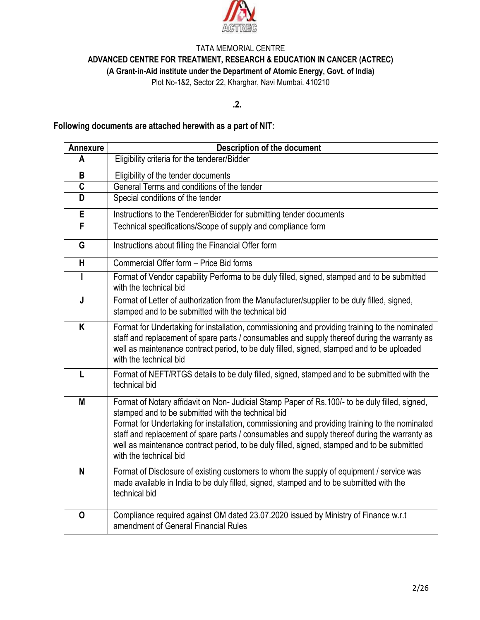

**ADVANCED CENTRE FOR TREATMENT, RESEARCH & EDUCATION IN CANCER (ACTREC)**

**(A Grant-in-Aid institute under the Department of Atomic Energy, Govt. of India)**

Plot No-1&2, Sector 22, Kharghar, Navi Mumbai. 410210

## **.2.**

## **Following documents are attached herewith as a part of NIT:**

| <b>Annexure</b>         | <b>Description of the document</b>                                                                                                                                                                                                                                                                                                                                                                                                                                              |  |  |  |  |  |
|-------------------------|---------------------------------------------------------------------------------------------------------------------------------------------------------------------------------------------------------------------------------------------------------------------------------------------------------------------------------------------------------------------------------------------------------------------------------------------------------------------------------|--|--|--|--|--|
| A                       | Eligibility criteria for the tenderer/Bidder                                                                                                                                                                                                                                                                                                                                                                                                                                    |  |  |  |  |  |
| B                       | Eligibility of the tender documents                                                                                                                                                                                                                                                                                                                                                                                                                                             |  |  |  |  |  |
| $\overline{\mathsf{c}}$ | General Terms and conditions of the tender                                                                                                                                                                                                                                                                                                                                                                                                                                      |  |  |  |  |  |
| D                       | Special conditions of the tender                                                                                                                                                                                                                                                                                                                                                                                                                                                |  |  |  |  |  |
| E                       | Instructions to the Tenderer/Bidder for submitting tender documents                                                                                                                                                                                                                                                                                                                                                                                                             |  |  |  |  |  |
| F                       | Technical specifications/Scope of supply and compliance form                                                                                                                                                                                                                                                                                                                                                                                                                    |  |  |  |  |  |
| G                       | Instructions about filling the Financial Offer form                                                                                                                                                                                                                                                                                                                                                                                                                             |  |  |  |  |  |
| $\overline{\mathsf{H}}$ | Commercial Offer form - Price Bid forms                                                                                                                                                                                                                                                                                                                                                                                                                                         |  |  |  |  |  |
| L                       | Format of Vendor capability Performa to be duly filled, signed, stamped and to be submitted<br>with the technical bid                                                                                                                                                                                                                                                                                                                                                           |  |  |  |  |  |
| $\mathsf J$             | Format of Letter of authorization from the Manufacturer/supplier to be duly filled, signed,<br>stamped and to be submitted with the technical bid                                                                                                                                                                                                                                                                                                                               |  |  |  |  |  |
| K                       | Format for Undertaking for installation, commissioning and providing training to the nominated<br>staff and replacement of spare parts / consumables and supply thereof during the warranty as<br>well as maintenance contract period, to be duly filled, signed, stamped and to be uploaded<br>with the technical bid                                                                                                                                                          |  |  |  |  |  |
| L                       | Format of NEFT/RTGS details to be duly filled, signed, stamped and to be submitted with the<br>technical bid                                                                                                                                                                                                                                                                                                                                                                    |  |  |  |  |  |
| M                       | Format of Notary affidavit on Non- Judicial Stamp Paper of Rs.100/- to be duly filled, signed,<br>stamped and to be submitted with the technical bid<br>Format for Undertaking for installation, commissioning and providing training to the nominated<br>staff and replacement of spare parts / consumables and supply thereof during the warranty as<br>well as maintenance contract period, to be duly filled, signed, stamped and to be submitted<br>with the technical bid |  |  |  |  |  |
| N                       | Format of Disclosure of existing customers to whom the supply of equipment / service was<br>made available in India to be duly filled, signed, stamped and to be submitted with the<br>technical bid                                                                                                                                                                                                                                                                            |  |  |  |  |  |
| O                       | Compliance required against OM dated 23.07.2020 issued by Ministry of Finance w.r.t<br>amendment of General Financial Rules                                                                                                                                                                                                                                                                                                                                                     |  |  |  |  |  |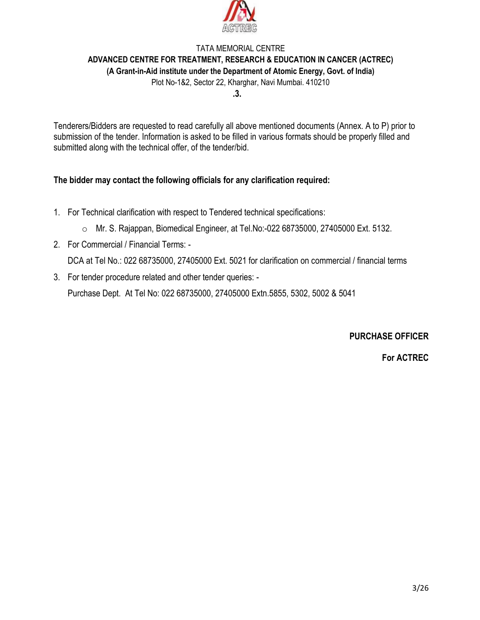

# TATA MEMORIAL CENTRE **ADVANCED CENTRE FOR TREATMENT, RESEARCH & EDUCATION IN CANCER (ACTREC) (A Grant-in-Aid institute under the Department of Atomic Energy, Govt. of India)**

Plot No-1&2, Sector 22, Kharghar, Navi Mumbai. 410210

**.3.**

Tenderers/Bidders are requested to read carefully all above mentioned documents (Annex. A to P) prior to submission of the tender. Information is asked to be filled in various formats should be properly filled and submitted along with the technical offer, of the tender/bid.

## **The bidder may contact the following officials for any clarification required:**

- 1. For Technical clarification with respect to Tendered technical specifications:
	- o Mr. S. Rajappan, Biomedical Engineer, at Tel.No:-022 68735000, 27405000 Ext. 5132.
- 2. For Commercial / Financial Terms: DCA at Tel No.: 022 68735000, 27405000 Ext. 5021 for clarification on commercial / financial terms
- 3. For tender procedure related and other tender queries: -

Purchase Dept. At Tel No: 022 68735000, 27405000 Extn.5855, 5302, 5002 & 5041

**PURCHASE OFFICER**

**For ACTREC**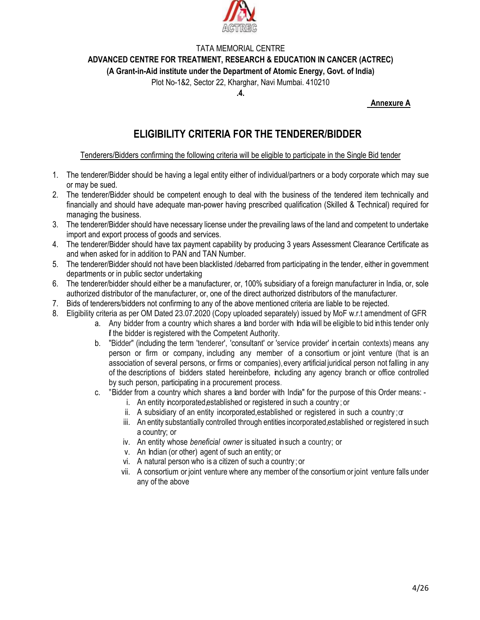

**ADVANCED CENTRE FOR TREATMENT, RESEARCH & EDUCATION IN CANCER (ACTREC)**

**(A Grant-in-Aid institute under the Department of Atomic Energy, Govt. of India)**

Plot No-1&2, Sector 22, Kharghar, Navi Mumbai. 410210

**.4.**

#### **Annexure A**

# **ELIGIBILITY CRITERIA FOR THE TENDERER/BIDDER**

#### Tenderers/Bidders confirming the following criteria will be eligible to participate in the Single Bid tender

- 1. The tenderer/Bidder should be having a legal entity either of individual/partners or a body corporate which may sue or may be sued.
- 2. The tenderer/Bidder should be competent enough to deal with the business of the tendered item technically and financially and should have adequate man-power having prescribed qualification (Skilled & Technical) required for managing the business.
- 3. The tenderer/Bidder should have necessary license under the prevailing laws of the land and competent to undertake import and export process of goods and services.
- 4. The tenderer/Bidder should have tax payment capability by producing 3 years Assessment Clearance Certificate as and when asked for in addition to PAN and TAN Number.
- 5. The tenderer/Bidder should not have been blacklisted /debarred from participating in the tender, either in government departments or in public sector undertaking
- 6. The tenderer/bidder should either be a manufacturer, or, 100% subsidiary of a foreign manufacturer in India, or, sole authorized distributor of the manufacturer, or, one of the direct authorized distributors of the manufacturer.
- 7. Bids of tenderers/bidders not confirming to any of the above mentioned criteria are liable to be rejected.
- 8. Eligibility criteria as per OM Dated 23.07.2020 (Copy uploaded separately) issued by MoF w.r.t amendment of GFR
	- a. Any bidder from a country which shares a land border with India will be eligible to bid inthis tender only **f** the bidder is registered with the Competent Authority.
	- b. "Bidder" (including the term 'tenderer', 'consultant' or 'service provider' in certain contexts) means any person or firm or company, including any member of a consortium or joint venture (that is an association of several persons, or firms or companies),every artificial juridical person not falling in any of the descriptions of bidders stated hereinbefore, including any agency branch or office controlled by such person, participating in a procurement process.
	- c. "Bidder from a country which shares a land border with India" for the purpose of this Order means:
		- i. An entity incorporated,established or registered in such a country ; or
		- ii. A subsidiary of an entity incorporated, established or registered in such a country;  $\sigma$
		- iii. An entity substantially controlled through entities incorporated,established or registered in such a country; or
		- iv. An entity whose *beneficial owner* is situated insuch a country; or
		- v. An Indian (or other) agent of such an entity; or
		- vi. A natural person who is a citizen of such a country ; or
		- vii. A consortium or joint venture where any member of the consortiumor joint venture falls under any of the above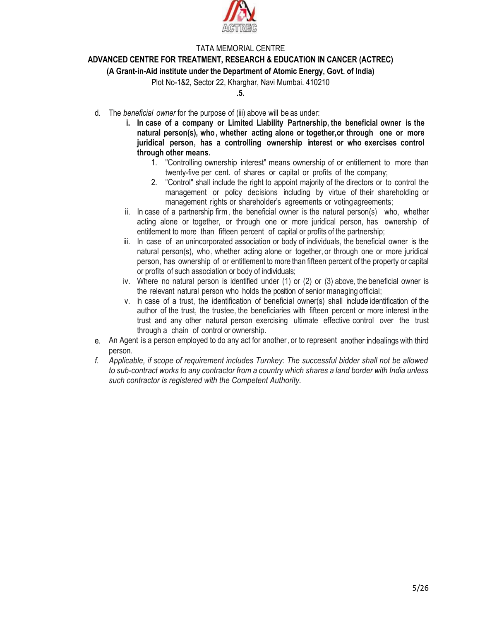

#### **ADVANCED CENTRE FOR TREATMENT, RESEARCH & EDUCATION IN CANCER (ACTREC)**

**(A Grant-in-Aid institute under the Department of Atomic Energy, Govt. of India)**

Plot No-1&2, Sector 22, Kharghar, Navi Mumbai. 410210

#### **.5.**

- d. The *beneficial owner* for the purpose of (iii) above will be as under:
	- **i. In case of a company or Limited Liability Partnership, the beneficial owner is the natural person(s), who, whether acting alone or together,or through one or more juridical person, has a controlling ownership interest or who exercises control through other means.**
		- 1. "Controlling ownership interest" means ownership of or entitlement to more than twenty-five per cent. of shares or capital or profits of the company;
		- 2. "Control" shall include the right to appoint majority of the directors or to control the management or policy decisions including by virtue of their shareholding or management rights or shareholder's agreements or votingagreements;
	- ii. In case of a partnership firm, the beneficial owner is the natural person(s) who, whether acting alone or together, or through one or more juridical person, has ownership of entitlement to more than fifteen percent of capital or profits of the partnership;
	- iii. In case of an unincorporated association or body of individuals, the beneficial owner is the natural person(s), who , whether acting alone or together, or through one or more juridical person, has ownership of or entitlement to more than fifteen percent of the property or capital or profits of such association or body of individuals;
	- iv. Where no natural person is identified under (1) or (2) or (3) above, the beneficial owner is the relevant natural person who holds the position of senior managing official;
	- v. In case of a trust, the identification of beneficial owner(s) shall include identification of the author of the trust, the trustee, the beneficiaries with fifteen percent or more interest in the trust and any other natural person exercising ultimate effective control over the trust through a chain of control or ownership.
- e. An Agent is a person employed to do any act for another, or to represent another indealings with third person.
- *f. Applicable, if scope of requirement includes Turnkey: The successful bidder shall not be allowed to sub-contract works to any contractor from a country which shares a land border with India unless such contractor is registered with the Competent Authority.*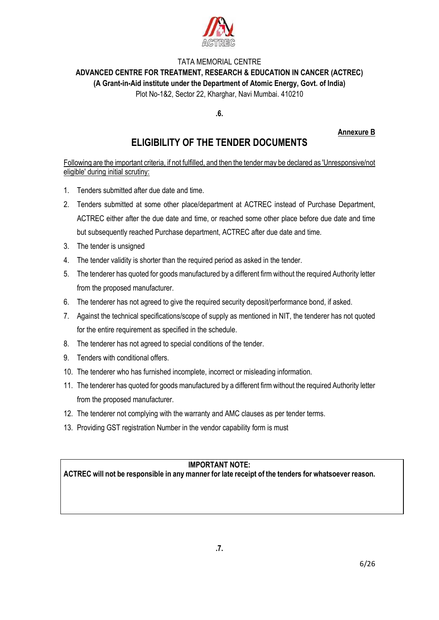

# TATA MEMORIAL CENTRE **ADVANCED CENTRE FOR TREATMENT, RESEARCH & EDUCATION IN CANCER (ACTREC) (A Grant-in-Aid institute under the Department of Atomic Energy, Govt. of India)**

Plot No-1&2, Sector 22, Kharghar, Navi Mumbai. 410210

**.6.**

### **Annexure B**

# **ELIGIBILITY OF THE TENDER DOCUMENTS**

Following are the important criteria, if not fulfilled, and then the tender may be declared as 'Unresponsive/not eligible' during initial scrutiny:

- 1. Tenders submitted after due date and time.
- 2. Tenders submitted at some other place/department at ACTREC instead of Purchase Department, ACTREC either after the due date and time, or reached some other place before due date and time but subsequently reached Purchase department, ACTREC after due date and time.
- 3. The tender is unsigned
- 4. The tender validity is shorter than the required period as asked in the tender.
- 5. The tenderer has quoted for goods manufactured by a different firm without the required Authority letter from the proposed manufacturer.
- 6. The tenderer has not agreed to give the required security deposit/performance bond, if asked.
- 7. Against the technical specifications/scope of supply as mentioned in NIT, the tenderer has not quoted for the entire requirement as specified in the schedule.
- 8. The tenderer has not agreed to special conditions of the tender.
- 9. Tenders with conditional offers.
- 10. The tenderer who has furnished incomplete, incorrect or misleading information.
- 11. The tenderer has quoted for goods manufactured by a different firm without the required Authority letter from the proposed manufacturer.
- 12. The tenderer not complying with the warranty and AMC clauses as per tender terms.
- 13. Providing GST registration Number in the vendor capability form is must

## **IMPORTANT NOTE:**

**ACTREC will not be responsible in any manner for late receipt of the tenders for whatsoever reason.**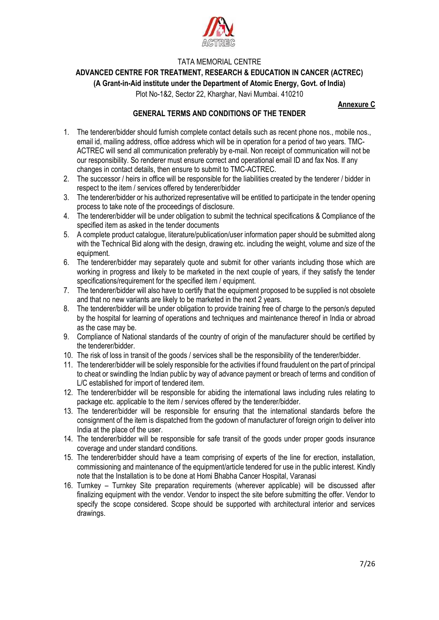

**ADVANCED CENTRE FOR TREATMENT, RESEARCH & EDUCATION IN CANCER (ACTREC)**

**(A Grant-in-Aid institute under the Department of Atomic Energy, Govt. of India)**

Plot No-1&2, Sector 22, Kharghar, Navi Mumbai. 410210

#### **Annexure C**

#### **GENERAL TERMS AND CONDITIONS OF THE TENDER**

- 1. The tenderer/bidder should furnish complete contact details such as recent phone nos., mobile nos., email id, mailing address, office address which will be in operation for a period of two years. TMC-ACTREC will send all communication preferably by e-mail. Non receipt of communication will not be our responsibility. So renderer must ensure correct and operational email ID and fax Nos. If any changes in contact details, then ensure to submit to TMC-ACTREC.
- 2. The successor / heirs in office will be responsible for the liabilities created by the tenderer / bidder in respect to the item / services offered by tenderer/bidder
- 3. The tenderer/bidder or his authorized representative will be entitled to participate in the tender opening process to take note of the proceedings of disclosure.
- 4. The tenderer/bidder will be under obligation to submit the technical specifications & Compliance of the specified item as asked in the tender documents
- 5. A complete product catalogue, literature/publication/user information paper should be submitted along with the Technical Bid along with the design, drawing etc. including the weight, volume and size of the equipment.
- 6. The tenderer/bidder may separately quote and submit for other variants including those which are working in progress and likely to be marketed in the next couple of years, if they satisfy the tender specifications/requirement for the specified item / equipment.
- 7. The tenderer/bidder will also have to certify that the equipment proposed to be supplied is not obsolete and that no new variants are likely to be marketed in the next 2 years.
- 8. The tenderer/bidder will be under obligation to provide training free of charge to the person/s deputed by the hospital for learning of operations and techniques and maintenance thereof in India or abroad as the case may be.
- 9. Compliance of National standards of the country of origin of the manufacturer should be certified by the tenderer/bidder.
- 10. The risk of loss in transit of the goods / services shall be the responsibility of the tenderer/bidder.
- 11. The tenderer/bidder will be solely responsible for the activities if found fraudulent on the part of principal to cheat or swindling the Indian public by way of advance payment or breach of terms and condition of L/C established for import of tendered item.
- 12. The tenderer/bidder will be responsible for abiding the international laws including rules relating to package etc. applicable to the item / services offered by the tenderer/bidder.
- 13. The tenderer/bidder will be responsible for ensuring that the international standards before the consignment of the item is dispatched from the godown of manufacturer of foreign origin to deliver into India at the place of the user.
- 14. The tenderer/bidder will be responsible for safe transit of the goods under proper goods insurance coverage and under standard conditions.
- 15. The tenderer/bidder should have a team comprising of experts of the line for erection, installation, commissioning and maintenance of the equipment/article tendered for use in the public interest. Kindly note that the Installation is to be done at Homi Bhabha Cancer Hospital, Varanasi
- 16. Turnkey Turnkey Site preparation requirements (wherever applicable) will be discussed after finalizing equipment with the vendor. Vendor to inspect the site before submitting the offer. Vendor to specify the scope considered. Scope should be supported with architectural interior and services drawings.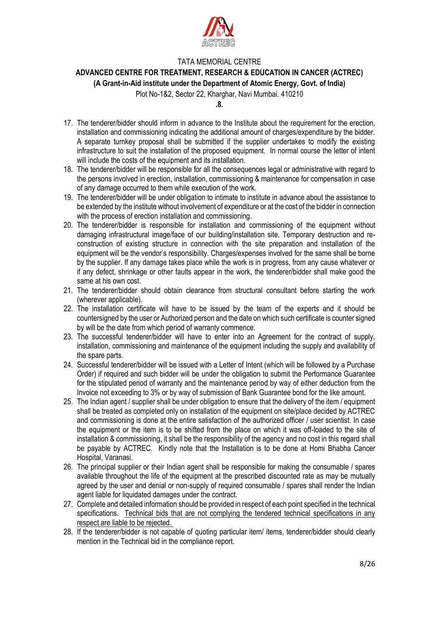

**ADVANCED CENTRE FOR TREATMENT, RESEARCH & EDUCATION IN CANCER (ACTREC)**

**(A Grant-in-Aid institute under the Department of Atomic Energy, Govt. of India)**

Plot No-1&2, Sector 22, Kharghar, Navi Mumbai. 410210

**.8.**

- 17. The tenderer/bidder should inform in advance to the Institute about the requirement for the erection, installation and commissioning indicating the additional amount of charges/expenditure by the bidder. A separate turnkey proposal shall be submitted if the supplier undertakes to modify the existing infrastructure to suit the installation of the proposed equipment. In normal course the letter of intent will include the costs of the equipment and its installation.
- 18. The tenderer/bidder will be responsible for all the consequences legal or administrative with regard to the persons involved in erection, installation, commissioning & maintenance for compensation in case of any damage occurred to them while execution of the work.
- 19. The tenderer/bidder will be under obligation to intimate to institute in advance about the assistance to be extended by the institute without involvement of expenditure or at the cost of the bidder in connection with the process of erection installation and commissioning.
- 20. The tenderer/bidder is responsible for installation and commissioning of the equipment without damaging infrastructural image/face of our building/installation site. Temporary destruction and reconstruction of existing structure in connection with the site preparation and installation of the equipment will be the vendor's responsibility. Charges/expenses involved for the same shall be borne by the supplier. If any damage takes place while the work is in progress, from any cause whatever or if any defect, shrinkage or other faults appear in the work, the tenderer/bidder shall make good the same at his own cost.
- 21. The tenderer/bidder should obtain clearance from structural consultant before starting the work (wherever applicable).
- 22. The installation certificate will have to be issued by the team of the experts and it should be countersigned by the user or Authorized person and the date on which such certificate is counter signed by will be the date from which period of warranty commence.
- 23. The successful tenderer/bidder will have to enter into an Agreement for the contract of supply, installation, commissioning and maintenance of the equipment including the supply and availability of the spare parts.
- 24. Successful tenderer/bidder will be issued with a Letter of Intent (which will be followed by a Purchase Order) if required and such bidder will be under the obligation to submit the Performance Guarantee for the stipulated period of warranty and the maintenance period by way of either deduction from the Invoice not exceeding to 3% or by way of submission of Bank Guarantee bond for the like amount.
- 25. The Indian agent / supplier shall be under obligation to ensure that the delivery of the item / equipment shall be treated as completed only on installation of the equipment on site/place decided by ACTREC and commissioning is done at the entire satisfaction of the authorized officer / user scientist. In case the equipment or the item is to be shifted from the place on which it was off-loaded to the site of installation & commissioning, it shall be the responsibility of the agency and no cost in this regard shall be payable by ACTREC. Kindly note that the Installation is to be done at Homi Bhabha Cancer Hospital, Varanasi.
- 26. The principal supplier or their Indian agent shall be responsible for making the consumable / spares available throughout the life of the equipment at the prescribed discounted rate as may be mutually agreed by the user and denial or non-supply of required consumable / spares shall render the Indian agent liable for liquidated damages under the contract.
- 27. Complete and detailed information should be provided in respect of each point specified in the technical specifications. Technical bids that are not complying the tendered technical specifications in any respect are liable to be rejected.
- 28. If the tenderer/bidder is not capable of quoting particular item/ items, tenderer/bidder should clearly mention in the Technical bid in the compliance report.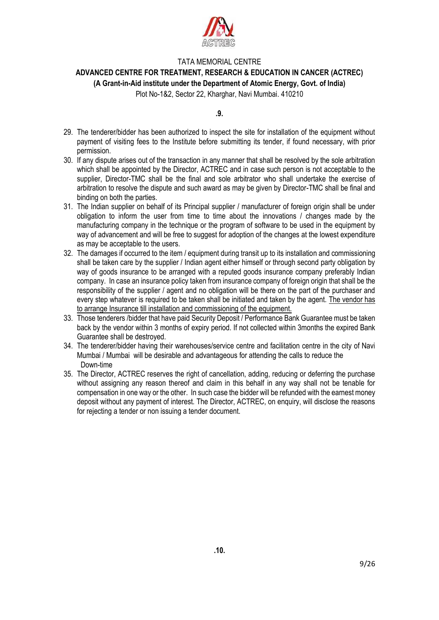

#### **ADVANCED CENTRE FOR TREATMENT, RESEARCH & EDUCATION IN CANCER (ACTREC)**

#### **(A Grant-in-Aid institute under the Department of Atomic Energy, Govt. of India)**

Plot No-1&2, Sector 22, Kharghar, Navi Mumbai. 410210

**.9.**

- 29. The tenderer/bidder has been authorized to inspect the site for installation of the equipment without payment of visiting fees to the Institute before submitting its tender, if found necessary, with prior permission.
- 30. If any dispute arises out of the transaction in any manner that shall be resolved by the sole arbitration which shall be appointed by the Director, ACTREC and in case such person is not acceptable to the supplier, Director-TMC shall be the final and sole arbitrator who shall undertake the exercise of arbitration to resolve the dispute and such award as may be given by Director-TMC shall be final and binding on both the parties.
- 31. The Indian supplier on behalf of its Principal supplier / manufacturer of foreign origin shall be under obligation to inform the user from time to time about the innovations / changes made by the manufacturing company in the technique or the program of software to be used in the equipment by way of advancement and will be free to suggest for adoption of the changes at the lowest expenditure as may be acceptable to the users.
- 32. The damages if occurred to the item / equipment during transit up to its installation and commissioning shall be taken care by the supplier / Indian agent either himself or through second party obligation by way of goods insurance to be arranged with a reputed goods insurance company preferably Indian company. In case an insurance policy taken from insurance company of foreign origin that shall be the responsibility of the supplier / agent and no obligation will be there on the part of the purchaser and every step whatever is required to be taken shall be initiated and taken by the agent. The vendor has to arrange Insurance till installation and commissioning of the equipment.
- 33. Those tenderers /bidder that have paid Security Deposit / Performance Bank Guarantee must be taken back by the vendor within 3 months of expiry period. If not collected within 3months the expired Bank Guarantee shall be destroyed.
- 34. The tenderer/bidder having their warehouses/service centre and facilitation centre in the city of Navi Mumbai / Mumbai will be desirable and advantageous for attending the calls to reduce the Down-time
- 35. The Director, ACTREC reserves the right of cancellation, adding, reducing or deferring the purchase without assigning any reason thereof and claim in this behalf in any way shall not be tenable for compensation in one way or the other. In such case the bidder will be refunded with the earnest money deposit without any payment of interest. The Director, ACTREC, on enquiry, will disclose the reasons for rejecting a tender or non issuing a tender document.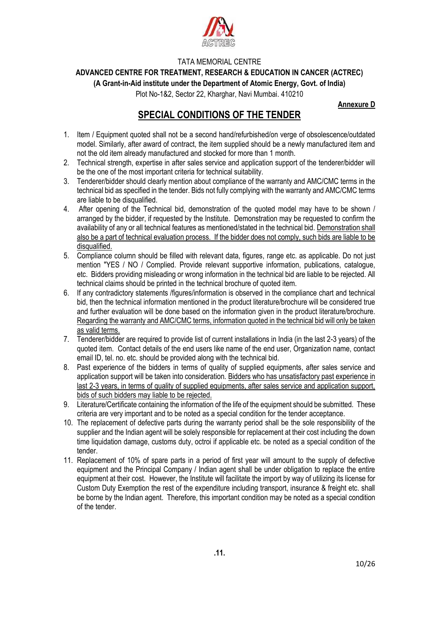

**ADVANCED CENTRE FOR TREATMENT, RESEARCH & EDUCATION IN CANCER (ACTREC)**

**(A Grant-in-Aid institute under the Department of Atomic Energy, Govt. of India)**

Plot No-1&2, Sector 22, Kharghar, Navi Mumbai. 410210

**Annexure D**

# **SPECIAL CONDITIONS OF THE TENDER**

- 1. Item / Equipment quoted shall not be a second hand/refurbished/on verge of obsolescence/outdated model. Similarly, after award of contract, the item supplied should be a newly manufactured item and not the old item already manufactured and stocked for more than 1 month.
- 2. Technical strength, expertise in after sales service and application support of the tenderer/bidder will be the one of the most important criteria for technical suitability.
- 3. Tenderer/bidder should clearly mention about compliance of the warranty and AMC/CMC terms in the technical bid as specified in the tender. Bids not fully complying with the warranty and AMC/CMC terms are liable to be disqualified.
- 4. After opening of the Technical bid, demonstration of the quoted model may have to be shown / arranged by the bidder, if requested by the Institute. Demonstration may be requested to confirm the availability of any or all technical features as mentioned/stated in the technical bid. Demonstration shall also be a part of technical evaluation process. If the bidder does not comply, such bids are liable to be disqualified.
- 5. Compliance column should be filled with relevant data, figures, range etc. as applicable. Do not just mention "YES / NO / Complied. Provide relevant supportive information, publications, catalogue, etc. Bidders providing misleading or wrong information in the technical bid are liable to be rejected. All technical claims should be printed in the technical brochure of quoted item.
- 6. If any contradictory statements /figures/information is observed in the compliance chart and technical bid, then the technical information mentioned in the product literature/brochure will be considered true and further evaluation will be done based on the information given in the product literature/brochure. Regarding the warranty and AMC/CMC terms, information quoted in the technical bid will only be taken as valid terms.
- 7. Tenderer/bidder are required to provide list of current installations in India (in the last 2-3 years) of the quoted item. Contact details of the end users like name of the end user, Organization name, contact email ID, tel. no. etc. should be provided along with the technical bid.
- 8. Past experience of the bidders in terms of quality of supplied equipments, after sales service and application support will be taken into consideration. Bidders who has unsatisfactory past experience in last 2-3 years, in terms of quality of supplied equipments, after sales service and application support, bids of such bidders may liable to be rejected.
- 9. Literature/Certificate containing the information of the life of the equipment should be submitted. These criteria are very important and to be noted as a special condition for the tender acceptance.
- 10. The replacement of defective parts during the warranty period shall be the sole responsibility of the supplier and the Indian agent will be solely responsible for replacement at their cost including the down time liquidation damage, customs duty, octroi if applicable etc. be noted as a special condition of the tender.
- 11. Replacement of 10% of spare parts in a period of first year will amount to the supply of defective equipment and the Principal Company / Indian agent shall be under obligation to replace the entire equipment at their cost. However, the Institute will facilitate the import by way of utilizing its license for Custom Duty Exemption the rest of the expenditure including transport, insurance & freight etc. shall be borne by the Indian agent. Therefore, this important condition may be noted as a special condition of the tender.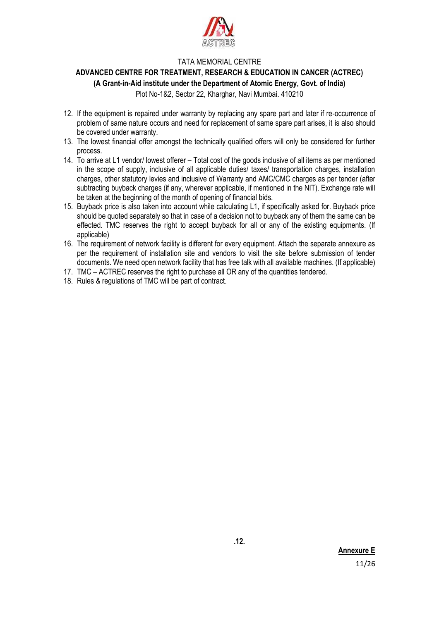

## **ADVANCED CENTRE FOR TREATMENT, RESEARCH & EDUCATION IN CANCER (ACTREC)**

#### **(A Grant-in-Aid institute under the Department of Atomic Energy, Govt. of India)**

Plot No-1&2, Sector 22, Kharghar, Navi Mumbai. 410210

- 12. If the equipment is repaired under warranty by replacing any spare part and later if re-occurrence of problem of same nature occurs and need for replacement of same spare part arises, it is also should be covered under warranty.
- 13. The lowest financial offer amongst the technically qualified offers will only be considered for further process.
- 14. To arrive at L1 vendor/ lowest offerer Total cost of the goods inclusive of all items as per mentioned in the scope of supply, inclusive of all applicable duties/ taxes/ transportation charges, installation charges, other statutory levies and inclusive of Warranty and AMC/CMC charges as per tender (after subtracting buyback charges (if any, wherever applicable, if mentioned in the NIT). Exchange rate will be taken at the beginning of the month of opening of financial bids.
- 15. Buyback price is also taken into account while calculating L1, if specifically asked for. Buyback price should be quoted separately so that in case of a decision not to buyback any of them the same can be effected. TMC reserves the right to accept buyback for all or any of the existing equipments. (If applicable)
- 16. The requirement of network facility is different for every equipment. Attach the separate annexure as per the requirement of installation site and vendors to visit the site before submission of tender documents. We need open network facility that has free talk with all available machines. (If applicable)
- 17. TMC ACTREC reserves the right to purchase all OR any of the quantities tendered.
- 18. Rules & regulations of TMC will be part of contract.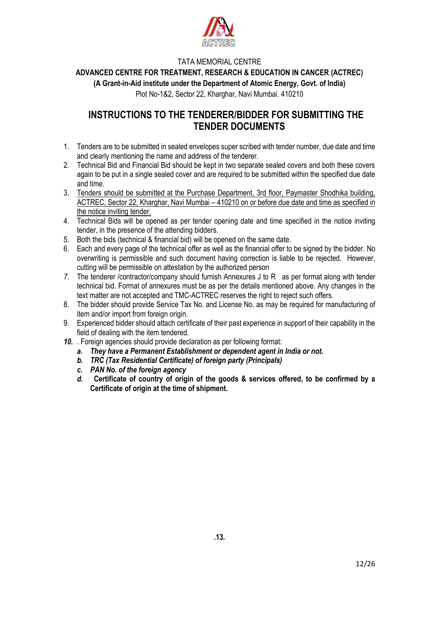

**ADVANCED CENTRE FOR TREATMENT, RESEARCH & EDUCATION IN CANCER (ACTREC)**

**(A Grant-in-Aid institute under the Department of Atomic Energy, Govt. of India)**

Plot No-1&2, Sector 22, Kharghar, Navi Mumbai. 410210

# **INSTRUCTIONS TO THE TENDERER/BIDDER FOR SUBMITTING THE TENDER DOCUMENTS**

- 1. Tenders are to be submitted in sealed envelopes super scribed with tender number, due date and time and clearly mentioning the name and address of the tenderer.
- 2. Technical Bid and Financial Bid should be kept in two separate sealed covers and both these covers again to be put in a single sealed cover and are required to be submitted within the specified due date and time.
- 3. Tenders should be submitted at the Purchase Department, 3rd floor, Paymaster Shodhika building, ACTREC, Sector 22, Kharghar, Navi Mumbai – 410210 on or before due date and time as specified in the notice inviting tender.
- 4. Technical Bids will be opened as per tender opening date and time specified in the notice inviting tender, in the presence of the attending bidders.
- 5. Both the bids (technical & financial bid) will be opened on the same date.
- 6. Each and every page of the technical offer as well as the financial offer to be signed by the bidder. No overwriting is permissible and such document having correction is liable to be rejected. However, cutting will be permissible on attestation by the authorized person
- 7. The tenderer /contractor/company should furnish Annexures J to R as per format along with tender technical bid. Format of annexures must be as per the details mentioned above. Any changes in the text matter are not accepted and TMC-ACTREC reserves the right to reject such offers.
- 8. The bidder should provide Service Tax No. and License No. as may be required for manufacturing of item and/or import from foreign origin.
- 9. Experienced bidder should attach certificate of their past experience in support of their capability in the field of dealing with the item tendered.
- *10.* . Foreign agencies should provide declaration as per following format:
	- *a. They have a Permanent Establishment or dependent agent in India or not.*
	- *b. TRC (Tax Residential Certificate) of foreign party (Principals)*
	- *c. PAN No. of the foreign agency*
	- *d.* **Certificate of country of origin of the goods & services offered, to be confirmed by a Certificate of origin at the time of shipment.**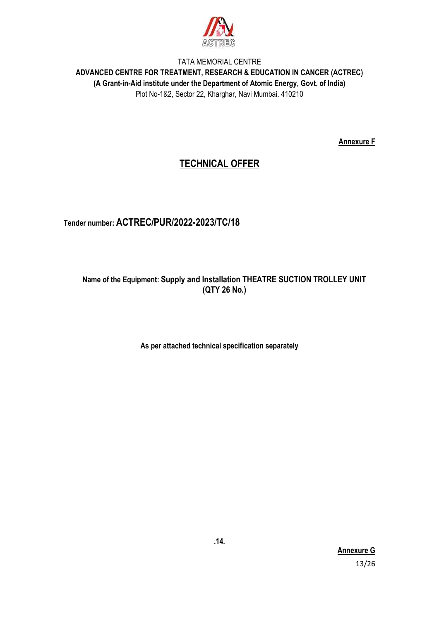

**Annexure F**

# **TECHNICAL OFFER**

# **Tender number: ACTREC/PUR/2022-2023/TC/18**

## **Name of the Equipment: Supply and Installation THEATRE SUCTION TROLLEY UNIT (QTY 26 No.)**

**As per attached technical specification separately**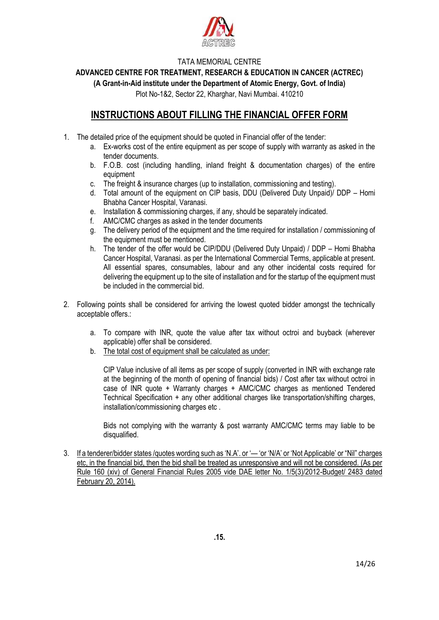

**ADVANCED CENTRE FOR TREATMENT, RESEARCH & EDUCATION IN CANCER (ACTREC)**

**(A Grant-in-Aid institute under the Department of Atomic Energy, Govt. of India)**

Plot No-1&2, Sector 22, Kharghar, Navi Mumbai. 410210

## **INSTRUCTIONS ABOUT FILLING THE FINANCIAL OFFER FORM**

- 1. The detailed price of the equipment should be quoted in Financial offer of the tender:
	- a. Ex-works cost of the entire equipment as per scope of supply with warranty as asked in the tender documents.
	- b. F.O.B. cost (including handling, inland freight & documentation charges) of the entire equipment
	- c. The freight & insurance charges (up to installation, commissioning and testing).
	- d. Total amount of the equipment on CIP basis, DDU (Delivered Duty Unpaid)/ DDP Homi Bhabha Cancer Hospital, Varanasi.
	- e. Installation & commissioning charges, if any, should be separately indicated.
	- f. AMC/CMC charges as asked in the tender documents
	- g. The delivery period of the equipment and the time required for installation / commissioning of the equipment must be mentioned.
	- h. The tender of the offer would be CIP/DDU (Delivered Duty Unpaid) / DDP Homi Bhabha Cancer Hospital, Varanasi. as per the International Commercial Terms, applicable at present. All essential spares, consumables, labour and any other incidental costs required for delivering the equipment up to the site of installation and for the startup of the equipment must be included in the commercial bid.
- 2. Following points shall be considered for arriving the lowest quoted bidder amongst the technically acceptable offers.:
	- a. To compare with INR, quote the value after tax without octroi and buyback (wherever applicable) offer shall be considered.
	- b. The total cost of equipment shall be calculated as under:

CIP Value inclusive of all items as per scope of supply (converted in INR with exchange rate at the beginning of the month of opening of financial bids) / Cost after tax without octroi in case of INR quote + Warranty charges + AMC/CMC charges as mentioned Tendered Technical Specification + any other additional charges like transportation/shifting charges, installation/commissioning charges etc .

Bids not complying with the warranty & post warranty AMC/CMC terms may liable to be disqualified.

3. If a tenderer/bidder states /quotes wording such as 'N.A'. or '— 'or 'N/A' or 'Not Applicable' or "Nil" charges etc, in the financial bid, then the bid shall be treated as unresponsive and will not be considered. (As per Rule 160 (xiv) of General Financial Rules 2005 vide DAE letter No. 1/5(3)/2012-Budget/ 2483 dated February 20, 2014).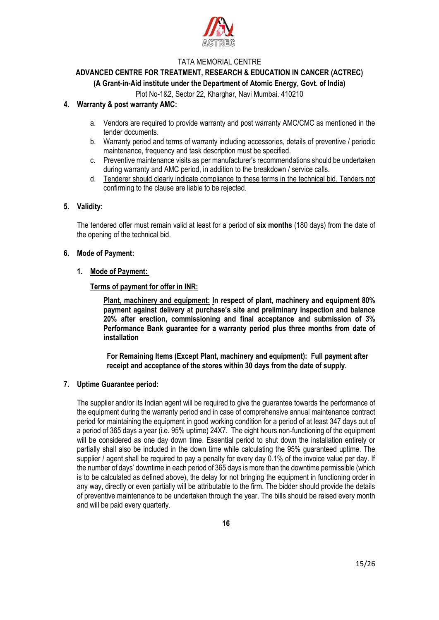

# **ADVANCED CENTRE FOR TREATMENT, RESEARCH & EDUCATION IN CANCER (ACTREC)**

### **(A Grant-in-Aid institute under the Department of Atomic Energy, Govt. of India)**

Plot No-1&2, Sector 22, Kharghar, Navi Mumbai. 410210

#### **4. Warranty & post warranty AMC:**

- a. Vendors are required to provide warranty and post warranty AMC/CMC as mentioned in the tender documents.
- b. Warranty period and terms of warranty including accessories, details of preventive / periodic maintenance, frequency and task description must be specified.
- c. Preventive maintenance visits as per manufacturer's recommendations should be undertaken during warranty and AMC period, in addition to the breakdown / service calls.
- d. Tenderer should clearly indicate compliance to these terms in the technical bid. Tenders not confirming to the clause are liable to be rejected.

#### **5. Validity:**

The tendered offer must remain valid at least for a period of **six months** (180 days) from the date of the opening of the technical bid.

#### **6. Mode of Payment:**

#### **1. Mode of Payment:**

#### **Terms of payment for offer in INR:**

**Plant, machinery and equipment: In respect of plant, machinery and equipment 80% payment against delivery at purchase's site and preliminary inspection and balance 20% after erection, commissioning and final acceptance and submission of 3% Performance Bank guarantee for a warranty period plus three months from date of installation**

**For Remaining Items (Except Plant, machinery and equipment): Full payment after receipt and acceptance of the stores within 30 days from the date of supply.**

#### **7. Uptime Guarantee period:**

The supplier and/or its Indian agent will be required to give the guarantee towards the performance of the equipment during the warranty period and in case of comprehensive annual maintenance contract period for maintaining the equipment in good working condition for a period of at least 347 days out of a period of 365 days a year (i.e. 95% uptime) 24X7. The eight hours non-functioning of the equipment will be considered as one day down time. Essential period to shut down the installation entirely or partially shall also be included in the down time while calculating the 95% guaranteed uptime. The supplier / agent shall be required to pay a penalty for every day 0.1% of the invoice value per day. If the number of days' downtime in each period of 365 days is more than the downtime permissible (which is to be calculated as defined above), the delay for not bringing the equipment in functioning order in any way, directly or even partially will be attributable to the firm. The bidder should provide the details of preventive maintenance to be undertaken through the year. The bills should be raised every month and will be paid every quarterly.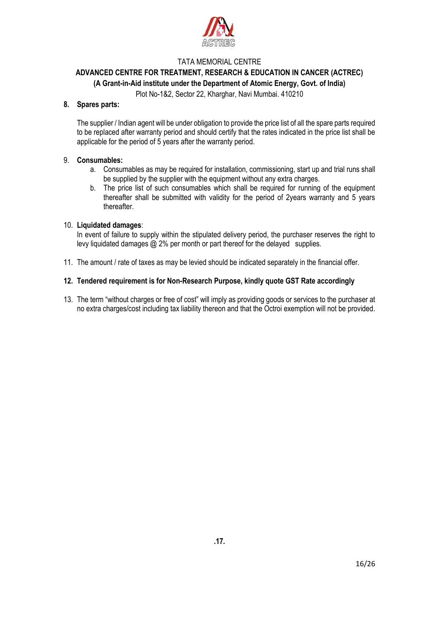

## **ADVANCED CENTRE FOR TREATMENT, RESEARCH & EDUCATION IN CANCER (ACTREC)**

#### **(A Grant-in-Aid institute under the Department of Atomic Energy, Govt. of India)**

Plot No-1&2, Sector 22, Kharghar, Navi Mumbai. 410210

#### **8. Spares parts:**

The supplier / Indian agent will be under obligation to provide the price list of all the spare parts required to be replaced after warranty period and should certify that the rates indicated in the price list shall be applicable for the period of 5 years after the warranty period.

#### 9. **Consumables:**

- a. Consumables as may be required for installation, commissioning, start up and trial runs shall be supplied by the supplier with the equipment without any extra charges.
- b. The price list of such consumables which shall be required for running of the equipment thereafter shall be submitted with validity for the period of 2years warranty and 5 years thereafter.

#### 10. **Liquidated damages**:

In event of failure to supply within the stipulated delivery period, the purchaser reserves the right to levy liquidated damages @ 2% per month or part thereof for the delayed supplies.

11. The amount / rate of taxes as may be levied should be indicated separately in the financial offer.

#### **12. Tendered requirement is for Non-Research Purpose, kindly quote GST Rate accordingly**

13. The term "without charges or free of cost" will imply as providing goods or services to the purchaser at no extra charges/cost including tax liability thereon and that the Octroi exemption will not be provided.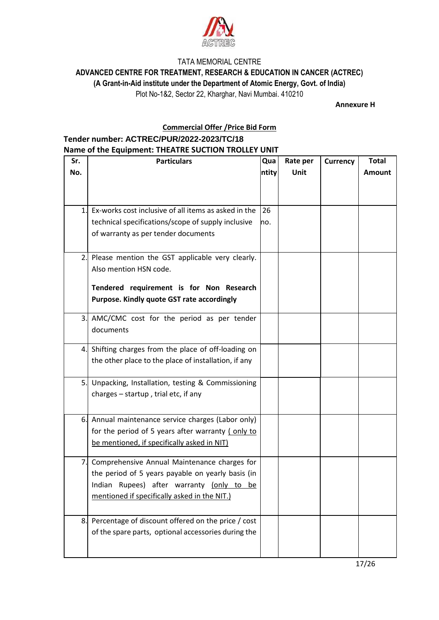

**ADVANCED CENTRE FOR TREATMENT, RESEARCH & EDUCATION IN CANCER (ACTREC)**

**(A Grant-in-Aid institute under the Department of Atomic Energy, Govt. of India)**

Plot No-1&2, Sector 22, Kharghar, Navi Mumbai. 410210

**Annexure H**

### **Commercial Offer /Price Bid Form**

## **Tender number: ACTREC/PUR/2022-2023/TC/18**

#### **Name of the Equipment: THEATRE SUCTION TROLLEY UNIT**

| Sr. | <b>Particulars</b>                                   | Qua   | Rate per    | <b>Currency</b> | <b>Total</b> |
|-----|------------------------------------------------------|-------|-------------|-----------------|--------------|
| No. |                                                      | ntity | <b>Unit</b> |                 | Amount       |
|     |                                                      |       |             |                 |              |
|     |                                                      |       |             |                 |              |
| 1.  | Ex-works cost inclusive of all items as asked in the | 26    |             |                 |              |
|     | technical specifications/scope of supply inclusive   | no.   |             |                 |              |
|     | of warranty as per tender documents                  |       |             |                 |              |
|     |                                                      |       |             |                 |              |
|     | 2. Please mention the GST applicable very clearly.   |       |             |                 |              |
|     | Also mention HSN code.                               |       |             |                 |              |
|     |                                                      |       |             |                 |              |
|     | Tendered requirement is for Non Research             |       |             |                 |              |
|     | Purpose. Kindly quote GST rate accordingly           |       |             |                 |              |
| 3.  | AMC/CMC cost for the period as per tender            |       |             |                 |              |
|     | documents                                            |       |             |                 |              |
|     |                                                      |       |             |                 |              |
|     | 4. Shifting charges from the place of off-loading on |       |             |                 |              |
|     | the other place to the place of installation, if any |       |             |                 |              |
|     | 5. Unpacking, Installation, testing & Commissioning  |       |             |                 |              |
|     | charges $-$ startup, trial etc, if any               |       |             |                 |              |
|     |                                                      |       |             |                 |              |
| 6.  | Annual maintenance service charges (Labor only)      |       |             |                 |              |
|     | for the period of 5 years after warranty (only to    |       |             |                 |              |
|     | be mentioned, if specifically asked in NIT)          |       |             |                 |              |
|     |                                                      |       |             |                 |              |
|     | 7. Comprehensive Annual Maintenance charges for      |       |             |                 |              |
|     | the period of 5 years payable on yearly basis (in    |       |             |                 |              |
|     | Indian Rupees) after warranty (only to be            |       |             |                 |              |
|     | mentioned if specifically asked in the NIT.)         |       |             |                 |              |
|     |                                                      |       |             |                 |              |
| 8.  | Percentage of discount offered on the price / cost   |       |             |                 |              |
|     | of the spare parts, optional accessories during the  |       |             |                 |              |
|     |                                                      |       |             |                 |              |
|     |                                                      |       |             |                 |              |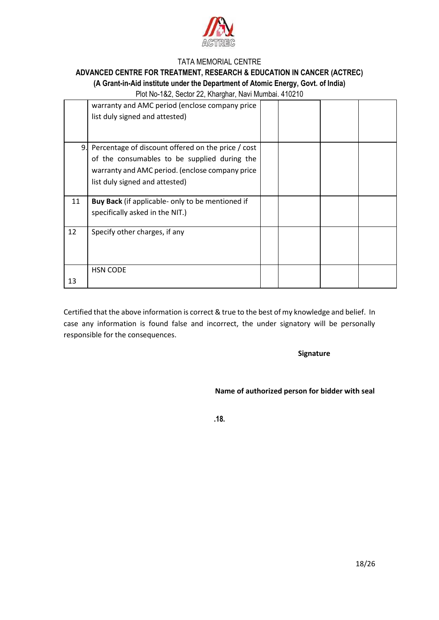

# **ADVANCED CENTRE FOR TREATMENT, RESEARCH & EDUCATION IN CANCER (ACTREC)**

#### **(A Grant-in-Aid institute under the Department of Atomic Energy, Govt. of India)**

Plot No-1&2, Sector 22, Kharghar, Navi Mumbai. 410210

|    | warranty and AMC period (enclose company price<br>list duly signed and attested)                                                                                                        |  |  |
|----|-----------------------------------------------------------------------------------------------------------------------------------------------------------------------------------------|--|--|
| 9. | Percentage of discount offered on the price / cost<br>of the consumables to be supplied during the<br>warranty and AMC period. (enclose company price<br>list duly signed and attested) |  |  |
| 11 | Buy Back (if applicable- only to be mentioned if<br>specifically asked in the NIT.)                                                                                                     |  |  |
| 12 | Specify other charges, if any                                                                                                                                                           |  |  |
| 13 | <b>HSN CODE</b>                                                                                                                                                                         |  |  |

Certified that the above information is correct & true to the best of my knowledge and belief. In case any information is found false and incorrect, the under signatory will be personally responsible for the consequences.

 **Signature**

 **Name of authorized person for bidder with seal**

**.18.**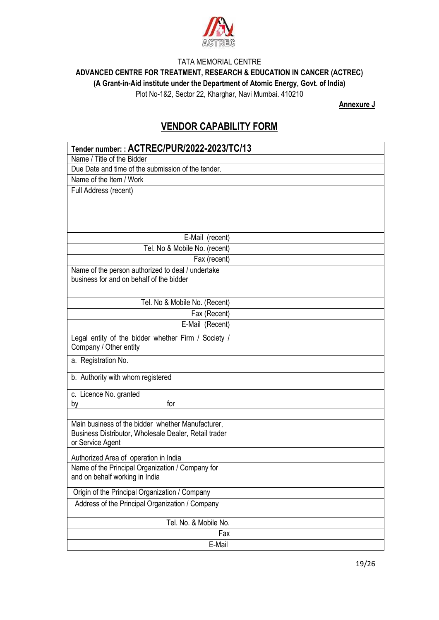

**ADVANCED CENTRE FOR TREATMENT, RESEARCH & EDUCATION IN CANCER (ACTREC)**

**(A Grant-in-Aid institute under the Department of Atomic Energy, Govt. of India)**

Plot No-1&2, Sector 22, Kharghar, Navi Mumbai. 410210

**Annexure J**

# **VENDOR CAPABILITY FORM**

| Tender number:: ACTREC/PUR/2022-2023/TC/13                                    |  |
|-------------------------------------------------------------------------------|--|
| Name / Title of the Bidder                                                    |  |
| Due Date and time of the submission of the tender.                            |  |
| Name of the Item / Work                                                       |  |
| Full Address (recent)                                                         |  |
|                                                                               |  |
|                                                                               |  |
|                                                                               |  |
| E-Mail (recent)                                                               |  |
| Tel. No & Mobile No. (recent)                                                 |  |
| Fax (recent)                                                                  |  |
| Name of the person authorized to deal / undertake                             |  |
| business for and on behalf of the bidder                                      |  |
|                                                                               |  |
| Tel. No & Mobile No. (Recent)                                                 |  |
| Fax (Recent)                                                                  |  |
| E-Mail (Recent)                                                               |  |
|                                                                               |  |
| Legal entity of the bidder whether Firm / Society /<br>Company / Other entity |  |
|                                                                               |  |
| a. Registration No.                                                           |  |
| b. Authority with whom registered                                             |  |
|                                                                               |  |
| c. Licence No. granted<br>for                                                 |  |
| by                                                                            |  |
| Main business of the bidder whether Manufacturer,                             |  |
| Business Distributor, Wholesale Dealer, Retail trader                         |  |
| or Service Agent                                                              |  |
| Authorized Area of operation in India                                         |  |
| Name of the Principal Organization / Company for                              |  |
| and on behalf working in India                                                |  |
|                                                                               |  |
| Origin of the Principal Organization / Company                                |  |
| Address of the Principal Organization / Company                               |  |
| Tel. No. & Mobile No.                                                         |  |
| Fax                                                                           |  |
| E-Mail                                                                        |  |
|                                                                               |  |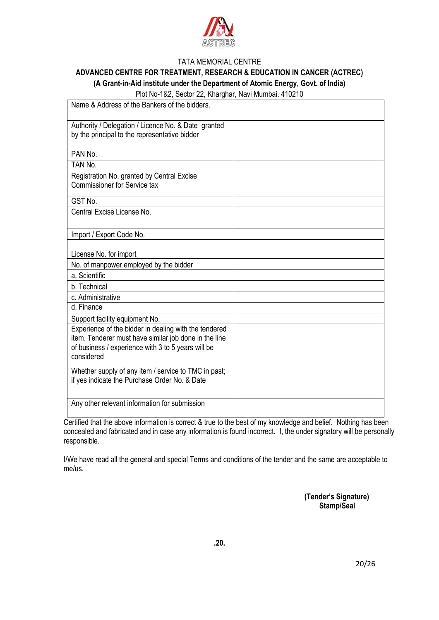

#### **ADVANCED CENTRE FOR TREATMENT, RESEARCH & EDUCATION IN CANCER (ACTREC) (A Grant-in-Aid institute under the Department of Atomic Energy, Govt. of India)**

Plot No-1&2, Sector 22, Kharghar, Navi Mumbai. 410210

| Name & Address of the Bankers of the bidders.                                                                                                                                      |  |
|------------------------------------------------------------------------------------------------------------------------------------------------------------------------------------|--|
| Authority / Delegation / Licence No. & Date granted<br>by the principal to the representative bidder                                                                               |  |
| PAN No.                                                                                                                                                                            |  |
| TAN No.                                                                                                                                                                            |  |
| Registration No. granted by Central Excise<br><b>Commissioner for Service tax</b>                                                                                                  |  |
| GST No.                                                                                                                                                                            |  |
| Central Excise License No.                                                                                                                                                         |  |
|                                                                                                                                                                                    |  |
| Import / Export Code No.                                                                                                                                                           |  |
| License No. for import                                                                                                                                                             |  |
| No. of manpower employed by the bidder                                                                                                                                             |  |
| a. Scientific                                                                                                                                                                      |  |
| b. Technical                                                                                                                                                                       |  |
| c. Administrative                                                                                                                                                                  |  |
| d. Finance                                                                                                                                                                         |  |
| Support facility equipment No.                                                                                                                                                     |  |
| Experience of the bidder in dealing with the tendered<br>item. Tenderer must have similar job done in the line<br>of business / experience with 3 to 5 years will be<br>considered |  |
| Whether supply of any item / service to TMC in past;<br>if yes indicate the Purchase Order No. & Date                                                                              |  |
| Any other relevant information for submission                                                                                                                                      |  |

Certified that the above information is correct & true to the best of my knowledge and belief. Nothing has been concealed and fabricated and in case any information is found incorrect. I, the under signatory will be personally responsible.

I/We have read all the general and special Terms and conditions of the tender and the same are acceptable to me/us.

> **(Tender's Signature) Stamp/Seal**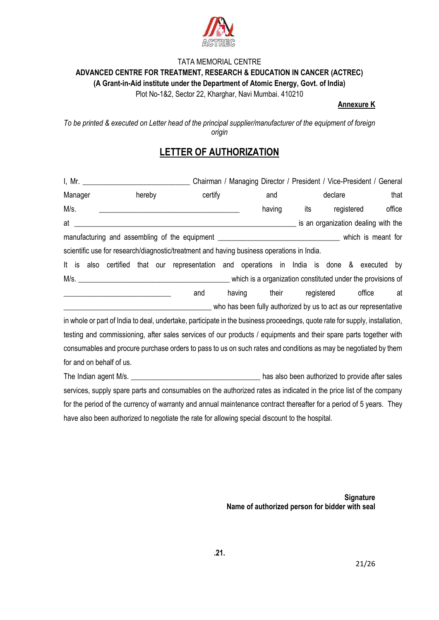

## TATA MEMORIAL CENTRE **ADVANCED CENTRE FOR TREATMENT, RESEARCH & EDUCATION IN CANCER (ACTREC) (A Grant-in-Aid institute under the Department of Atomic Energy, Govt. of India)**

Plot No-1&2, Sector 22, Kharghar, Navi Mumbai. 410210

#### **Annexure K**

*To be printed & executed on Letter head of the principal supplier/manufacturer of the equipment of foreign origin*

# **LETTER OF AUTHORIZATION**

|            | Chairman / Managing Director / President / Vice-President / General |           |        |  |                                                                                                                             |        |        |     |            |            |                                                                  |        |
|------------|---------------------------------------------------------------------|-----------|--------|--|-----------------------------------------------------------------------------------------------------------------------------|--------|--------|-----|------------|------------|------------------------------------------------------------------|--------|
| Manager    |                                                                     |           | hereby |  | certify                                                                                                                     |        | and    |     | declare    |            |                                                                  | that   |
| M/s.       |                                                                     |           |        |  |                                                                                                                             |        | having | its |            | registered |                                                                  | office |
| at         |                                                                     |           |        |  |                                                                                                                             |        |        |     |            |            | is an organization dealing with the                              |        |
|            |                                                                     |           |        |  |                                                                                                                             |        |        |     |            |            |                                                                  |        |
|            |                                                                     |           |        |  | scientific use for research/diagnostic/treatment and having business operations in India.                                   |        |        |     |            |            |                                                                  |        |
| It is also |                                                                     | certified |        |  | that our representation and operations in India is done & executed                                                          |        |        |     |            |            |                                                                  | by     |
|            |                                                                     |           |        |  |                                                                                                                             |        |        |     |            |            | which is a organization constituted under the provisions of      |        |
|            |                                                                     |           |        |  | and                                                                                                                         | having | their  |     | registered |            | office                                                           | at     |
|            |                                                                     |           |        |  |                                                                                                                             |        |        |     |            |            | who has been fully authorized by us to act as our representative |        |
|            |                                                                     |           |        |  | in whole or part of India to deal, undertake, participate in the business proceedings, quote rate for supply, installation, |        |        |     |            |            |                                                                  |        |
|            |                                                                     |           |        |  | testing and commissioning, after sales services of our products / equipments and their spare parts together with            |        |        |     |            |            |                                                                  |        |
|            |                                                                     |           |        |  | consumables and procure purchase orders to pass to us on such rates and conditions as may be negotiated by them             |        |        |     |            |            |                                                                  |        |

for and on behalf of us.

The Indian agent M/s. \_\_\_\_\_\_\_\_\_\_\_\_\_\_\_\_\_\_\_\_\_\_\_\_\_\_\_\_\_\_\_\_\_\_\_ has also been authorized to provide after sales services, supply spare parts and consumables on the authorized rates as indicated in the price list of the company for the period of the currency of warranty and annual maintenance contract thereafter for a period of 5 years. They have also been authorized to negotiate the rate for allowing special discount to the hospital.

> **Signature Name of authorized person for bidder with seal**

**.21.**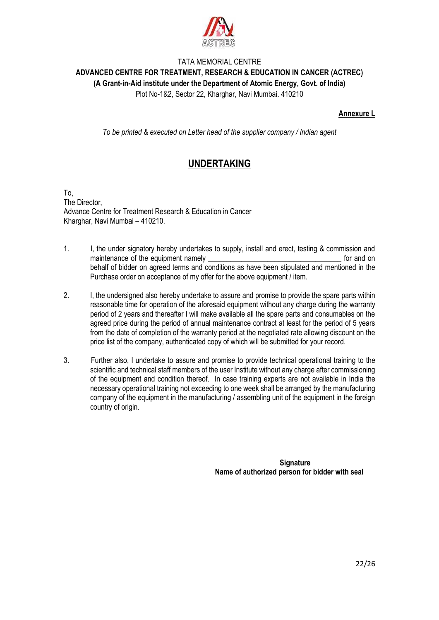

## TATA MEMORIAL CENTRE **ADVANCED CENTRE FOR TREATMENT, RESEARCH & EDUCATION IN CANCER (ACTREC) (A Grant-in-Aid institute under the Department of Atomic Energy, Govt. of India)**

Plot No-1&2, Sector 22, Kharghar, Navi Mumbai. 410210

#### **Annexure L**

*To be printed & executed on Letter head of the supplier company / Indian agent*

# **UNDERTAKING**

To, The Director, Advance Centre for Treatment Research & Education in Cancer Kharghar, Navi Mumbai – 410210.

- 1. I, the under signatory hereby undertakes to supply, install and erect, testing & commission and maintenance of the equipment namely example the state of the equipment namely example the state of the state on behalf of bidder on agreed terms and conditions as have been stipulated and mentioned in the Purchase order on acceptance of my offer for the above equipment / item.
- 2. I, the undersigned also hereby undertake to assure and promise to provide the spare parts within reasonable time for operation of the aforesaid equipment without any charge during the warranty period of 2 years and thereafter I will make available all the spare parts and consumables on the agreed price during the period of annual maintenance contract at least for the period of 5 years from the date of completion of the warranty period at the negotiated rate allowing discount on the price list of the company, authenticated copy of which will be submitted for your record.
- 3. Further also, I undertake to assure and promise to provide technical operational training to the scientific and technical staff members of the user Institute without any charge after commissioning of the equipment and condition thereof. In case training experts are not available in India the necessary operational training not exceeding to one week shall be arranged by the manufacturing company of the equipment in the manufacturing / assembling unit of the equipment in the foreign country of origin.

**Signature Name of authorized person for bidder with seal**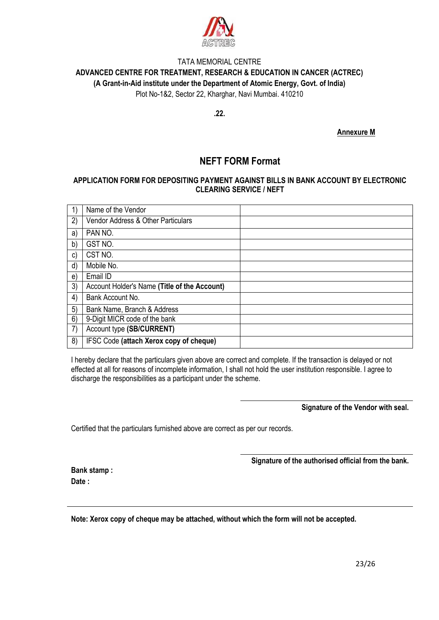

**.22.**

**Annexure M**

## **NEFT FORM Format**

#### **APPLICATION FORM FOR DEPOSITING PAYMENT AGAINST BILLS IN BANK ACCOUNT BY ELECTRONIC CLEARING SERVICE / NEFT**

|    | Name of the Vendor                           |  |
|----|----------------------------------------------|--|
| 2) | Vendor Address & Other Particulars           |  |
| a) | PAN NO.                                      |  |
| b) | GST NO.                                      |  |
| C) | CST NO.                                      |  |
| d) | Mobile No.                                   |  |
| e) | Email ID                                     |  |
| 3) | Account Holder's Name (Title of the Account) |  |
| 4) | Bank Account No.                             |  |
| 5) | Bank Name, Branch & Address                  |  |
| 6) | 9-Digit MICR code of the bank                |  |
| 7) | Account type (SB/CURRENT)                    |  |
| 8) | IFSC Code (attach Xerox copy of cheque)      |  |

I hereby declare that the particulars given above are correct and complete. If the transaction is delayed or not effected at all for reasons of incomplete information, I shall not hold the user institution responsible. I agree to discharge the responsibilities as a participant under the scheme.

**Signature of the Vendor with seal.**

Certified that the particulars furnished above are correct as per our records.

**Signature of the authorised official from the bank.**

**Bank stamp : Date :**

**Note: Xerox copy of cheque may be attached, without which the form will not be accepted.**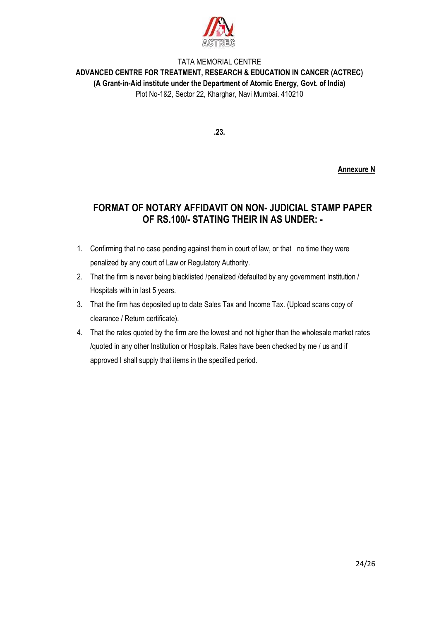

**.23.**

**Annexure N**

# **FORMAT OF NOTARY AFFIDAVIT ON NON- JUDICIAL STAMP PAPER OF RS.100/- STATING THEIR IN AS UNDER: -**

- 1. Confirming that no case pending against them in court of law, or that no time they were penalized by any court of Law or Regulatory Authority.
- 2. That the firm is never being blacklisted /penalized /defaulted by any government Institution / Hospitals with in last 5 years.
- 3. That the firm has deposited up to date Sales Tax and Income Tax. (Upload scans copy of clearance / Return certificate).
- 4. That the rates quoted by the firm are the lowest and not higher than the wholesale market rates /quoted in any other Institution or Hospitals. Rates have been checked by me / us and if approved I shall supply that items in the specified period.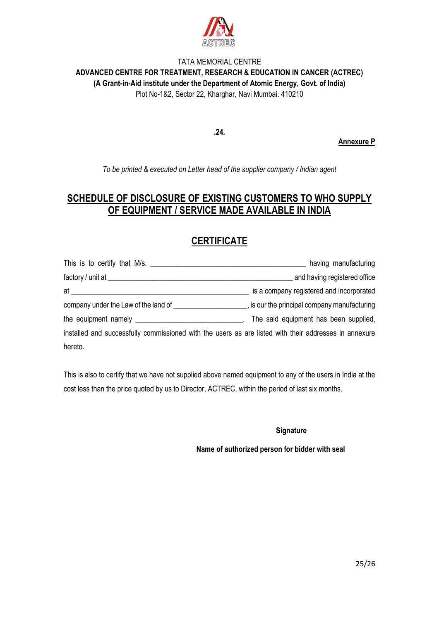

**.24.**

**Annexure P**

*To be printed & executed on Letter head of the supplier company / Indian agent*

# **SCHEDULE OF DISCLOSURE OF EXISTING CUSTOMERS TO WHO SUPPLY OF EQUIPMENT / SERVICE MADE AVAILABLE IN INDIA**

# **CERTIFICATE**

| This is to certify that M/s.                                                                                                                                                                                                   | having manufacturing                         |
|--------------------------------------------------------------------------------------------------------------------------------------------------------------------------------------------------------------------------------|----------------------------------------------|
|                                                                                                                                                                                                                                | and having registered office                 |
| at the contract of the contract of the contract of the contract of the contract of the contract of the contract of the contract of the contract of the contract of the contract of the contract of the contract of the contrac | is a company registered and incorporated     |
| company under the Law of the land of                                                                                                                                                                                           | , is our the principal company manufacturing |
|                                                                                                                                                                                                                                | The said equipment has been supplied,        |
| installed and successfully commissioned with the users as are listed with their addresses in annexure                                                                                                                          |                                              |
| hereto.                                                                                                                                                                                                                        |                                              |

This is also to certify that we have not supplied above named equipment to any of the users in India at the cost less than the price quoted by us to Director, ACTREC, within the period of last six months.

**Signature**

**Name of authorized person for bidder with seal**